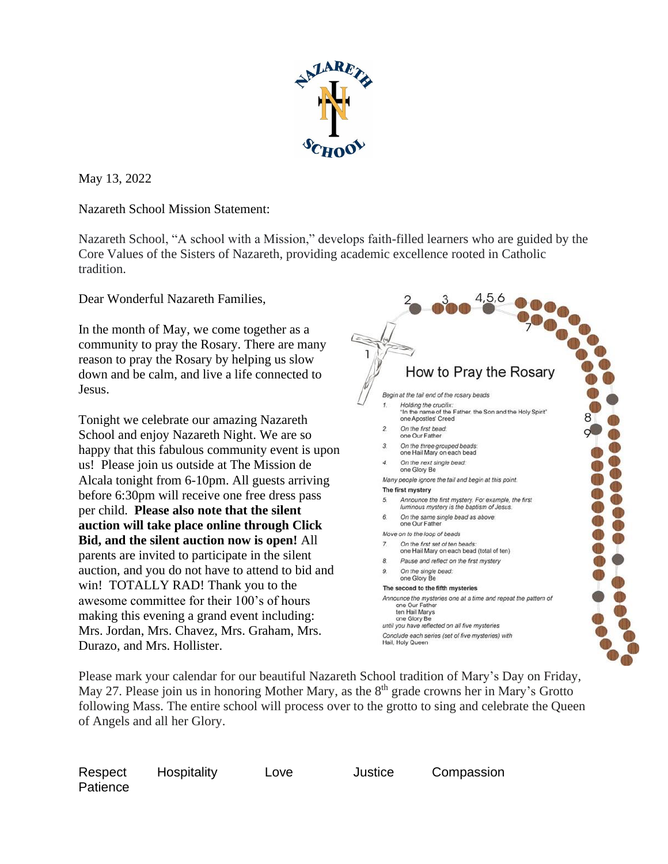

May 13, 2022

Nazareth School Mission Statement:

Nazareth School, "A school with a Mission," develops faith-filled learners who are guided by the Core Values of the Sisters of Nazareth, providing academic excellence rooted in Catholic tradition.

Dear Wonderful Nazareth Families,

In the month of May, we come together as a community to pray the Rosary. There are many reason to pray the Rosary by helping us slow down and be calm, and live a life connected to Jesus.

Tonight we celebrate our amazing Nazareth School and enjoy Nazareth Night. We are so happy that this fabulous community event is upon us! Please join us outside at The Mission de Alcala tonight from 6-10pm. All guests arriving before 6:30pm will receive one free dress pass per child. **Please also note that the silent auction will take place online through Click Bid, and the silent auction now is open!** All parents are invited to participate in the silent auction, and you do not have to attend to bid and win! TOTALLY RAD! Thank you to the awesome committee for their 100's of hours making this evening a grand event including: Mrs. Jordan, Mrs. Chavez, Mrs. Graham, Mrs. Durazo, and Mrs. Hollister.



Please mark your calendar for our beautiful Nazareth School tradition of Mary's Day on Friday, May 27. Please join us in honoring Mother Mary, as the 8<sup>th</sup> grade crowns her in Mary's Grotto following Mass. The entire school will process over to the grotto to sing and celebrate the Queen of Angels and all her Glory.

| Respect  | Hospitality |
|----------|-------------|
| Patience |             |

Love Justice Compassion